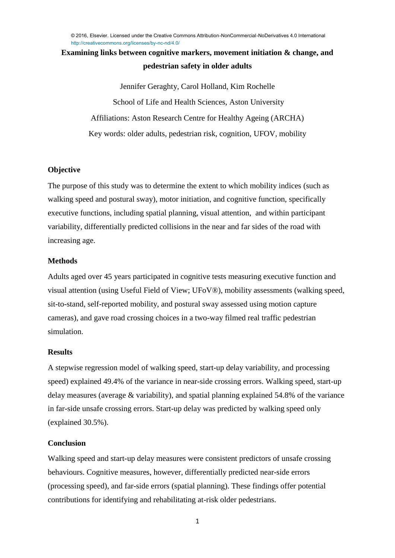## **Examining links between cognitive markers, movement initiation & change, and pedestrian safety in older adults**

Jennifer Geraghty, Carol Holland, Kim Rochelle School of Life and Health Sciences, Aston University [Affiliations:](mailto:geraghtj@aston.ac.uk) Aston Research Centre for Healthy Ageing (ARCHA) Key words: older adults, pedestrian risk, cognition, UFOV, mobility

### **Objective**

The purpose of this study was to determine the extent to which mobility indices (such as walking speed and postural sway), motor initiation, and cognitive function, specifically executive functions, including spatial planning, visual attention, and within participant variability, differentially predicted collisions in the near and far sides of the road with increasing age.

## **Methods**

Adults aged over 45 years participated in cognitive tests measuring executive function and visual attention (using Useful Field of View; UFoV®), mobility assessments (walking speed, sit-to-stand, self-reported mobility, and postural sway assessed using motion capture cameras), and gave road crossing choices in a two-way filmed real traffic pedestrian simulation.

### **Results**

A stepwise regression model of walking speed, start-up delay variability, and processing speed) explained 49.4% of the variance in near-side crossing errors. Walking speed, start-up delay measures (average & variability), and spatial planning explained 54.8% of the variance in far-side unsafe crossing errors. Start-up delay was predicted by walking speed only (explained 30.5%).

## **Conclusion**

Walking speed and start-up delay measures were consistent predictors of unsafe crossing behaviours. Cognitive measures, however, differentially predicted near-side errors (processing speed), and far-side errors (spatial planning). These findings offer potential contributions for identifying and rehabilitating at-risk older pedestrians.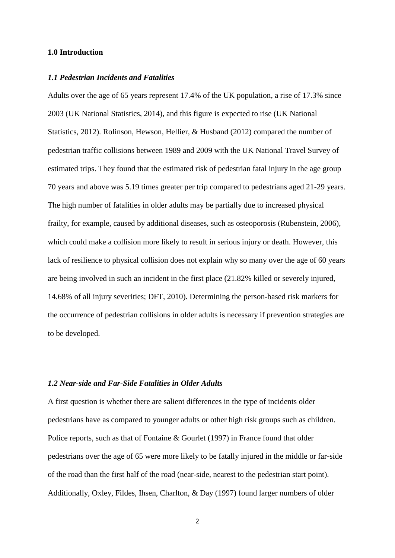#### **1.0 Introduction**

#### *1.1 Pedestrian Incidents and Fatalities*

Adults over the age of 65 years represent 17.4% of the UK population, a rise of 17.3% since 2003 (UK National Statistics, 2014), and this figure is expected to rise (UK National Statistics, 2012). Rolinson, Hewson, Hellier, & Husband (2012) compared the number of pedestrian traffic collisions between 1989 and 2009 with the UK National Travel Survey of estimated trips. They found that the estimated risk of pedestrian fatal injury in the age group 70 years and above was 5.19 times greater per trip compared to pedestrians aged 21-29 years. The high number of fatalities in older adults may be partially due to increased physical frailty, for example, caused by additional diseases, such as osteoporosis (Rubenstein, 2006), which could make a collision more likely to result in serious injury or death. However, this lack of resilience to physical collision does not explain why so many over the age of 60 years are being involved in such an incident in the first place (21.82% killed or severely injured, 14.68% of all injury severities; DFT, 2010). Determining the person-based risk markers for the occurrence of pedestrian collisions in older adults is necessary if prevention strategies are to be developed.

#### *1.2 Near-side and Far-Side Fatalities in Older Adults*

A first question is whether there are salient differences in the type of incidents older pedestrians have as compared to younger adults or other high risk groups such as children. Police reports, such as that of Fontaine & Gourlet (1997) in France found that older pedestrians over the age of 65 were more likely to be fatally injured in the middle or far-side of the road than the first half of the road (near-side, nearest to the pedestrian start point). Additionally, Oxley, Fildes, Ihsen, Charlton, & Day (1997) found larger numbers of older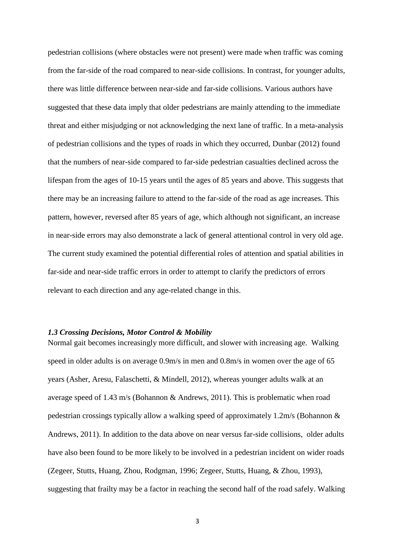pedestrian collisions (where obstacles were not present) were made when traffic was coming from the far-side of the road compared to near-side collisions. In contrast, for younger adults, there was little difference between near-side and far-side collisions. Various authors have suggested that these data imply that older pedestrians are mainly attending to the immediate threat and either misjudging or not acknowledging the next lane of traffic. In a meta-analysis of pedestrian collisions and the types of roads in which they occurred, Dunbar (2012) found that the numbers of near-side compared to far-side pedestrian casualties declined across the lifespan from the ages of 10-15 years until the ages of 85 years and above. This suggests that there may be an increasing failure to attend to the far-side of the road as age increases. This pattern, however, reversed after 85 years of age, which although not significant, an increase in near-side errors may also demonstrate a lack of general attentional control in very old age. The current study examined the potential differential roles of attention and spatial abilities in far-side and near-side traffic errors in order to attempt to clarify the predictors of errors relevant to each direction and any age-related change in this.

#### *1.3 Crossing Decisions, Motor Control & Mobility*

Normal gait becomes increasingly more difficult, and slower with increasing age. Walking speed in older adults is on average 0.9m/s in men and 0.8m/s in women over the age of 65 years (Asher, Aresu, Falaschetti, & Mindell, 2012), whereas younger adults walk at an average speed of 1.43 m/s (Bohannon & Andrews, 2011). This is problematic when road pedestrian crossings typically allow a walking speed of approximately 1.2m/s (Bohannon & Andrews, 2011). In addition to the data above on near versus far-side collisions, older adults have also been found to be more likely to be involved in a pedestrian incident on wider roads (Zegeer, Stutts, Huang, Zhou, Rodgman, 1996; Zegeer, Stutts, Huang, & Zhou, 1993), suggesting that frailty may be a factor in reaching the second half of the road safely. Walking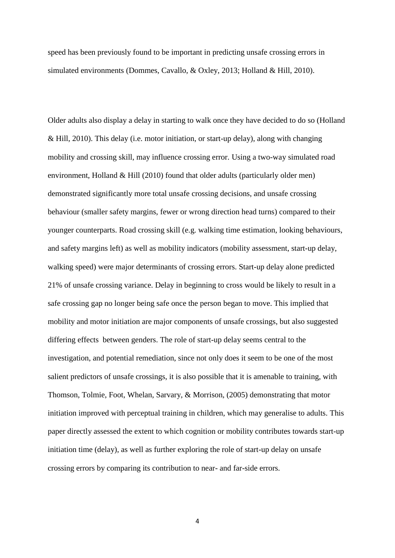speed has been previously found to be important in predicting unsafe crossing errors in simulated environments (Dommes, Cavallo, & Oxley, 2013; Holland & Hill, 2010).

Older adults also display a delay in starting to walk once they have decided to do so (Holland & Hill, 2010). This delay (i.e. motor initiation, or start-up delay), along with changing mobility and crossing skill, may influence crossing error. Using a two-way simulated road environment, Holland & Hill (2010) found that older adults (particularly older men) demonstrated significantly more total unsafe crossing decisions, and unsafe crossing behaviour (smaller safety margins, fewer or wrong direction head turns) compared to their younger counterparts. Road crossing skill (e.g. walking time estimation, looking behaviours, and safety margins left) as well as mobility indicators (mobility assessment, start-up delay, walking speed) were major determinants of crossing errors. Start-up delay alone predicted 21% of unsafe crossing variance. Delay in beginning to cross would be likely to result in a safe crossing gap no longer being safe once the person began to move. This implied that mobility and motor initiation are major components of unsafe crossings, but also suggested differing effects between genders. The role of start-up delay seems central to the investigation, and potential remediation, since not only does it seem to be one of the most salient predictors of unsafe crossings, it is also possible that it is amenable to training, with Thomson, Tolmie, Foot, Whelan, Sarvary, & Morrison, (2005) demonstrating that motor initiation improved with perceptual training in children, which may generalise to adults. This paper directly assessed the extent to which cognition or mobility contributes towards start-up initiation time (delay), as well as further exploring the role of start-up delay on unsafe crossing errors by comparing its contribution to near- and far-side errors.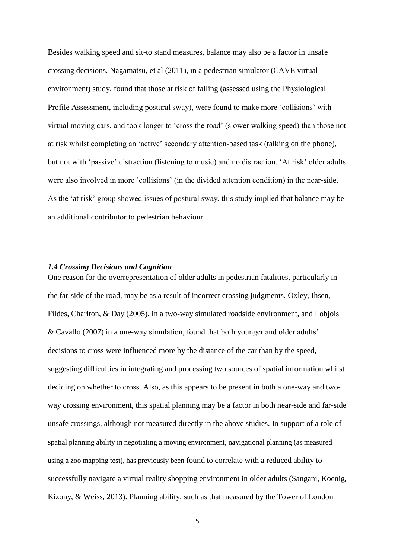Besides walking speed and sit-to stand measures, balance may also be a factor in unsafe crossing decisions. Nagamatsu, et al (2011), in a pedestrian simulator (CAVE virtual environment) study, found that those at risk of falling (assessed using the Physiological Profile Assessment, including postural sway), were found to make more 'collisions' with virtual moving cars, and took longer to 'cross the road' (slower walking speed) than those not at risk whilst completing an 'active' secondary attention-based task (talking on the phone), but not with 'passive' distraction (listening to music) and no distraction. 'At risk' older adults were also involved in more 'collisions' (in the divided attention condition) in the near-side. As the 'at risk' group showed issues of postural sway, this study implied that balance may be an additional contributor to pedestrian behaviour.

#### *1.4 Crossing Decisions and Cognition*

One reason for the overrepresentation of older adults in pedestrian fatalities, particularly in the far-side of the road, may be as a result of incorrect crossing judgments. Oxley, Ihsen, Fildes, Charlton, & Day (2005), in a two-way simulated roadside environment, and Lobjois & Cavallo (2007) in a one-way simulation, found that both younger and older adults' decisions to cross were influenced more by the distance of the car than by the speed, suggesting difficulties in integrating and processing two sources of spatial information whilst deciding on whether to cross. Also, as this appears to be present in both a one-way and twoway crossing environment, this spatial planning may be a factor in both near-side and far-side unsafe crossings, although not measured directly in the above studies. In support of a role of spatial planning ability in negotiating a moving environment, navigational planning (as measured using a zoo mapping test), has previously been found to correlate with a reduced ability to successfully navigate a virtual reality shopping environment in older adults (Sangani, Koenig, Kizony, & Weiss, 2013). Planning ability, such as that measured by the Tower of London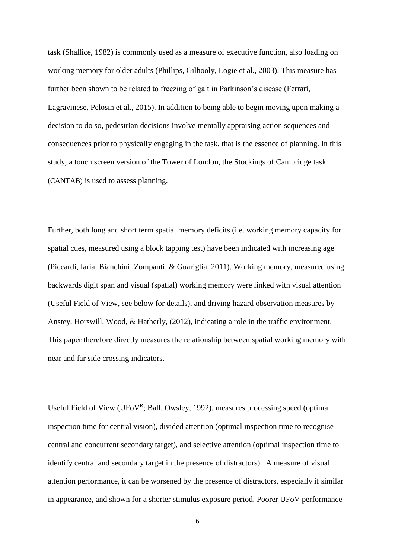task (Shallice, 1982) is commonly used as a measure of executive function, also loading on working memory for older adults (Phillips, Gilhooly, Logie et al., 2003). This measure has further been shown to be related to freezing of gait in Parkinson's disease (Ferrari, Lagravinese, Pelosin et al., 2015). In addition to being able to begin moving upon making a decision to do so, pedestrian decisions involve mentally appraising action sequences and consequences prior to physically engaging in the task, that is the essence of planning. In this study, a touch screen version of the Tower of London, the Stockings of Cambridge task (CANTAB) is used to assess planning.

Further, both long and short term spatial memory deficits (i.e. working memory capacity for spatial cues, measured using a block tapping test) have been indicated with increasing age (Piccardi, Iaria, Bianchini, Zompanti, & Guariglia, 2011). Working memory, measured using backwards digit span and visual (spatial) working memory were linked with visual attention (Useful Field of View, see below for details), and driving hazard observation measures by Anstey, Horswill, Wood, & Hatherly, (2012), indicating a role in the traffic environment. This paper therefore directly measures the relationship between spatial working memory with near and far side crossing indicators.

Useful Field of View (UFoVR; Ball, Owsley, 1992), measures processing speed (optimal inspection time for central vision), divided attention (optimal inspection time to recognise central and concurrent secondary target), and selective attention (optimal inspection time to identify central and secondary target in the presence of distractors). A measure of visual attention performance, it can be worsened by the presence of distractors, especially if similar in appearance, and shown for a shorter stimulus exposure period. Poorer UFoV performance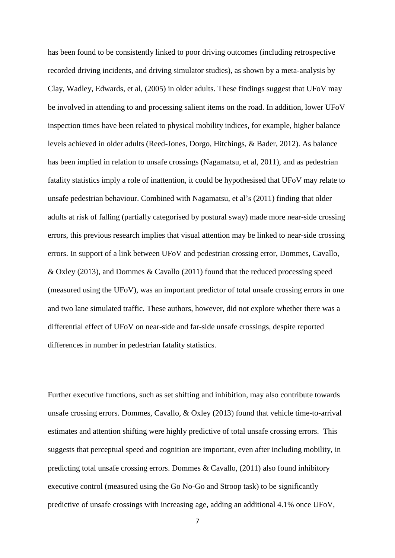has been found to be consistently linked to poor driving outcomes (including retrospective recorded driving incidents, and driving simulator studies), as shown by a meta-analysis by Clay, Wadley, Edwards, et al, (2005) in older adults. These findings suggest that UFoV may be involved in attending to and processing salient items on the road. In addition, lower UFoV inspection times have been related to physical mobility indices, for example, higher balance levels achieved in older adults (Reed-Jones, Dorgo, Hitchings, & Bader, 2012). As balance has been implied in relation to unsafe crossings (Nagamatsu, et al, 2011), and as pedestrian fatality statistics imply a role of inattention, it could be hypothesised that UFoV may relate to unsafe pedestrian behaviour. Combined with Nagamatsu, et al's (2011) finding that older adults at risk of falling (partially categorised by postural sway) made more near-side crossing errors, this previous research implies that visual attention may be linked to near-side crossing errors. In support of a link between UFoV and pedestrian crossing error, Dommes, Cavallo, & Oxley (2013), and Dommes & Cavallo (2011) found that the reduced processing speed (measured using the UFoV), was an important predictor of total unsafe crossing errors in one and two lane simulated traffic. These authors, however, did not explore whether there was a differential effect of UFoV on near-side and far-side unsafe crossings, despite reported differences in number in pedestrian fatality statistics.

Further executive functions, such as set shifting and inhibition, may also contribute towards unsafe crossing errors. Dommes, Cavallo, & Oxley (2013) found that vehicle time-to-arrival estimates and attention shifting were highly predictive of total unsafe crossing errors. This suggests that perceptual speed and cognition are important, even after including mobility, in predicting total unsafe crossing errors. Dommes & Cavallo, (2011) also found inhibitory executive control (measured using the Go No-Go and Stroop task) to be significantly predictive of unsafe crossings with increasing age, adding an additional 4.1% once UFoV,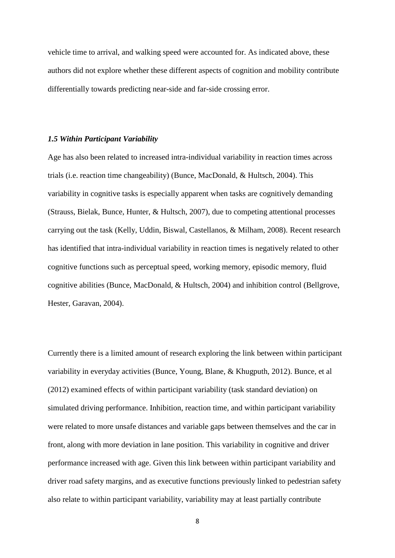vehicle time to arrival, and walking speed were accounted for. As indicated above, these authors did not explore whether these different aspects of cognition and mobility contribute differentially towards predicting near-side and far-side crossing error.

#### *1.5 Within Participant Variability*

Age has also been related to increased intra-individual variability in reaction times across trials (i.e. reaction time changeability) (Bunce, MacDonald, & Hultsch, 2004). This variability in cognitive tasks is especially apparent when tasks are cognitively demanding (Strauss, Bielak, Bunce, Hunter, & Hultsch, 2007), due to competing attentional processes carrying out the task (Kelly, Uddin, Biswal, Castellanos, & Milham, 2008). Recent research has identified that intra-individual variability in reaction times is negatively related to other cognitive functions such as perceptual speed, working memory, episodic memory, fluid cognitive abilities (Bunce, MacDonald, & Hultsch, 2004) and inhibition control (Bellgrove, Hester, Garavan, 2004).

Currently there is a limited amount of research exploring the link between within participant variability in everyday activities (Bunce, Young, Blane, & Khugputh, 2012). Bunce, et al (2012) examined effects of within participant variability (task standard deviation) on simulated driving performance. Inhibition, reaction time, and within participant variability were related to more unsafe distances and variable gaps between themselves and the car in front, along with more deviation in lane position. This variability in cognitive and driver performance increased with age. Given this link between within participant variability and driver road safety margins, and as executive functions previously linked to pedestrian safety also relate to within participant variability, variability may at least partially contribute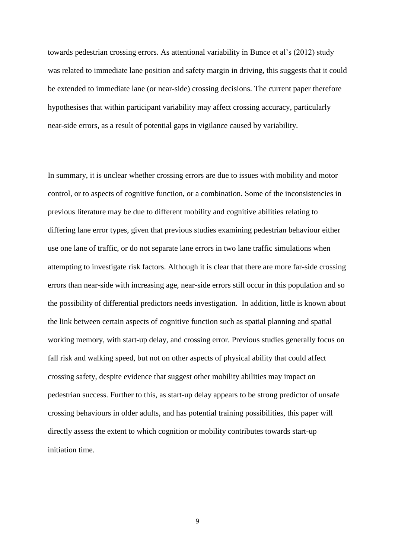towards pedestrian crossing errors. As attentional variability in Bunce et al's (2012) study was related to immediate lane position and safety margin in driving, this suggests that it could be extended to immediate lane (or near-side) crossing decisions. The current paper therefore hypothesises that within participant variability may affect crossing accuracy, particularly near-side errors, as a result of potential gaps in vigilance caused by variability.

In summary, it is unclear whether crossing errors are due to issues with mobility and motor control, or to aspects of cognitive function, or a combination. Some of the inconsistencies in previous literature may be due to different mobility and cognitive abilities relating to differing lane error types, given that previous studies examining pedestrian behaviour either use one lane of traffic, or do not separate lane errors in two lane traffic simulations when attempting to investigate risk factors. Although it is clear that there are more far-side crossing errors than near-side with increasing age, near-side errors still occur in this population and so the possibility of differential predictors needs investigation. In addition, little is known about the link between certain aspects of cognitive function such as spatial planning and spatial working memory, with start-up delay, and crossing error. Previous studies generally focus on fall risk and walking speed, but not on other aspects of physical ability that could affect crossing safety, despite evidence that suggest other mobility abilities may impact on pedestrian success. Further to this, as start-up delay appears to be strong predictor of unsafe crossing behaviours in older adults, and has potential training possibilities, this paper will directly assess the extent to which cognition or mobility contributes towards start-up initiation time.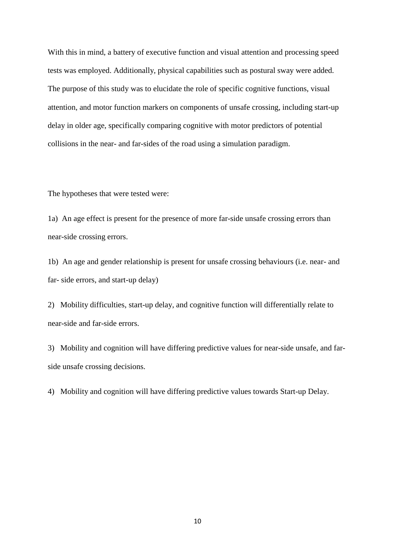With this in mind, a battery of executive function and visual attention and processing speed tests was employed. Additionally, physical capabilities such as postural sway were added. The purpose of this study was to elucidate the role of specific cognitive functions, visual attention, and motor function markers on components of unsafe crossing, including start-up delay in older age, specifically comparing cognitive with motor predictors of potential collisions in the near- and far-sides of the road using a simulation paradigm.

The hypotheses that were tested were:

1a) An age effect is present for the presence of more far-side unsafe crossing errors than near-side crossing errors.

1b) An age and gender relationship is present for unsafe crossing behaviours (i.e. near- and far- side errors, and start-up delay)

2) Mobility difficulties, start-up delay, and cognitive function will differentially relate to near-side and far-side errors.

3) Mobility and cognition will have differing predictive values for near-side unsafe, and farside unsafe crossing decisions.

4) Mobility and cognition will have differing predictive values towards Start-up Delay.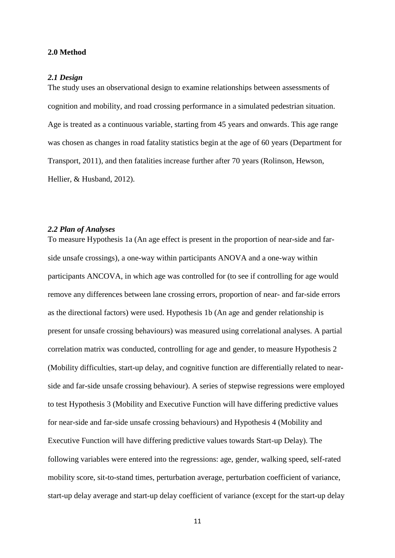#### **2.0 Method**

#### *2.1 Design*

The study uses an observational design to examine relationships between assessments of cognition and mobility, and road crossing performance in a simulated pedestrian situation. Age is treated as a continuous variable, starting from 45 years and onwards. This age range was chosen as changes in road fatality statistics begin at the age of 60 years (Department for Transport, 2011), and then fatalities increase further after 70 years (Rolinson, Hewson, Hellier, & Husband, 2012).

#### *2.2 Plan of Analyses*

To measure Hypothesis 1a (An age effect is present in the proportion of near-side and farside unsafe crossings), a one-way within participants ANOVA and a one-way within participants ANCOVA, in which age was controlled for (to see if controlling for age would remove any differences between lane crossing errors, proportion of near- and far-side errors as the directional factors) were used. Hypothesis 1b (An age and gender relationship is present for unsafe crossing behaviours) was measured using correlational analyses. A partial correlation matrix was conducted, controlling for age and gender, to measure Hypothesis 2 (Mobility difficulties, start-up delay, and cognitive function are differentially related to nearside and far-side unsafe crossing behaviour). A series of stepwise regressions were employed to test Hypothesis 3 (Mobility and Executive Function will have differing predictive values for near-side and far-side unsafe crossing behaviours) and Hypothesis 4 (Mobility and Executive Function will have differing predictive values towards Start-up Delay). The following variables were entered into the regressions: age, gender, walking speed, self-rated mobility score, sit-to-stand times, perturbation average, perturbation coefficient of variance, start-up delay average and start-up delay coefficient of variance (except for the start-up delay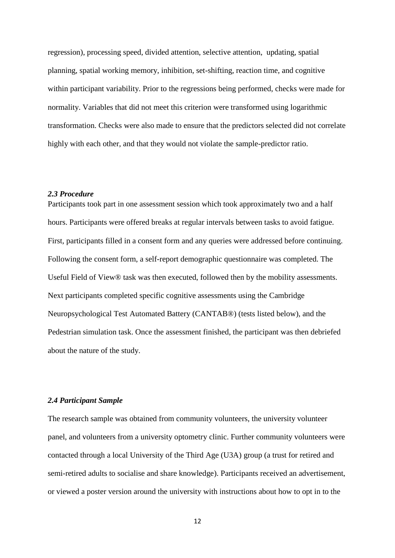regression), processing speed, divided attention, selective attention, updating, spatial planning, spatial working memory, inhibition, set-shifting, reaction time, and cognitive within participant variability. Prior to the regressions being performed, checks were made for normality. Variables that did not meet this criterion were transformed using logarithmic transformation. Checks were also made to ensure that the predictors selected did not correlate highly with each other, and that they would not violate the sample-predictor ratio.

#### *2.3 Procedure*

Participants took part in one assessment session which took approximately two and a half hours. Participants were offered breaks at regular intervals between tasks to avoid fatigue. First, participants filled in a consent form and any queries were addressed before continuing. Following the consent form, a self-report demographic questionnaire was completed. The Useful Field of View® task was then executed, followed then by the mobility assessments. Next participants completed specific cognitive assessments using the Cambridge Neuropsychological Test Automated Battery (CANTAB®) (tests listed below), and the Pedestrian simulation task. Once the assessment finished, the participant was then debriefed about the nature of the study.

#### *2.4 Participant Sample*

The research sample was obtained from community volunteers, the university volunteer panel, and volunteers from a university optometry clinic. Further community volunteers were contacted through a local University of the Third Age (U3A) group (a trust for retired and semi-retired adults to socialise and share knowledge). Participants received an advertisement, or viewed a poster version around the university with instructions about how to opt in to the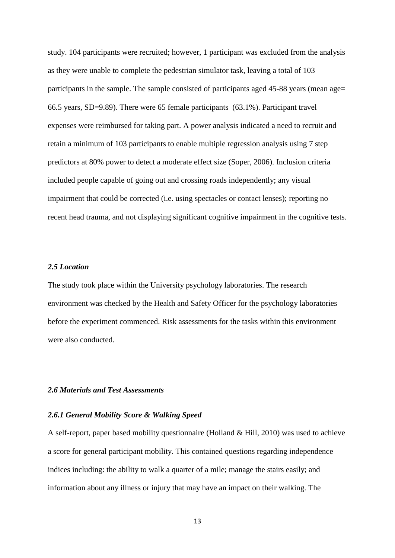study. 104 participants were recruited; however, 1 participant was excluded from the analysis as they were unable to complete the pedestrian simulator task, leaving a total of 103 participants in the sample. The sample consisted of participants aged 45-88 years (mean age= 66.5 years, SD=9.89). There were 65 female participants (63.1%). Participant travel expenses were reimbursed for taking part. A power analysis indicated a need to recruit and retain a minimum of 103 participants to enable multiple regression analysis using 7 step predictors at 80% power to detect a moderate effect size (Soper, 2006). Inclusion criteria included people capable of going out and crossing roads independently; any visual impairment that could be corrected (i.e. using spectacles or contact lenses); reporting no recent head trauma, and not displaying significant cognitive impairment in the cognitive tests.

### *2.5 Location*

The study took place within the University psychology laboratories. The research environment was checked by the Health and Safety Officer for the psychology laboratories before the experiment commenced. Risk assessments for the tasks within this environment were also conducted.

#### *2.6 Materials and Test Assessments*

#### *2.6.1 General Mobility Score & Walking Speed*

A self-report, paper based mobility questionnaire (Holland & Hill, 2010) was used to achieve a score for general participant mobility. This contained questions regarding independence indices including: the ability to walk a quarter of a mile; manage the stairs easily; and information about any illness or injury that may have an impact on their walking. The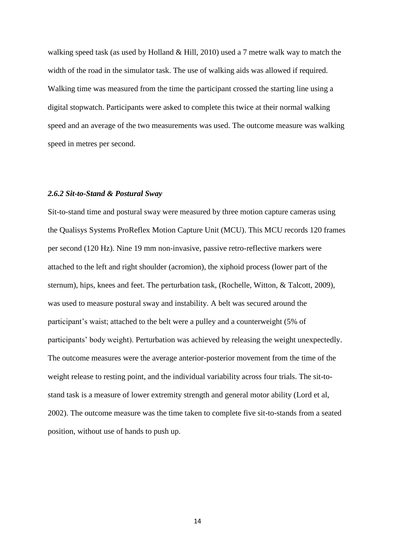walking speed task (as used by Holland & Hill, 2010) used a 7 metre walk way to match the width of the road in the simulator task. The use of walking aids was allowed if required. Walking time was measured from the time the participant crossed the starting line using a digital stopwatch. Participants were asked to complete this twice at their normal walking speed and an average of the two measurements was used. The outcome measure was walking speed in metres per second.

#### *2.6.2 Sit-to-Stand & Postural Sway*

Sit-to-stand time and postural sway were measured by three motion capture cameras using the Qualisys Systems ProReflex Motion Capture Unit (MCU). This MCU records 120 frames per second (120 Hz). Nine 19 mm non-invasive, passive retro-reflective markers were attached to the left and right shoulder (acromion), the xiphoid process (lower part of the sternum), hips, knees and feet. The perturbation task, (Rochelle, Witton, & Talcott, 2009), was used to measure postural sway and instability. A belt was secured around the participant's waist; attached to the belt were a pulley and a counterweight (5% of participants' body weight). Perturbation was achieved by releasing the weight unexpectedly. The outcome measures were the average anterior-posterior movement from the time of the weight release to resting point, and the individual variability across four trials. The sit-tostand task is a measure of lower extremity strength and general motor ability (Lord et al, 2002). The outcome measure was the time taken to complete five sit-to-stands from a seated position, without use of hands to push up.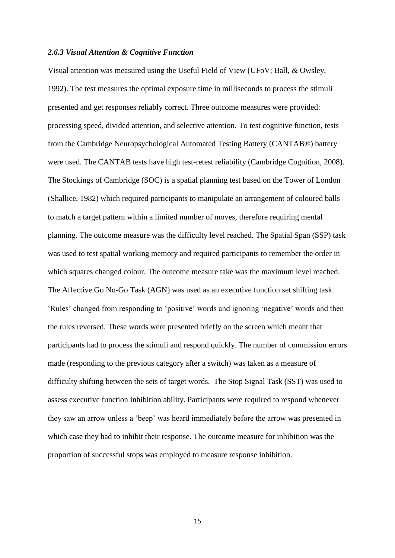#### *2.6.3 Visual Attention & Cognitive Function*

Visual attention was measured using the Useful Field of View (UFoV; Ball, & Owsley, 1992). The test measures the optimal exposure time in milliseconds to process the stimuli presented and get responses reliably correct. Three outcome measures were provided: processing speed, divided attention, and selective attention. To test cognitive function, tests from the Cambridge Neuropsychological Automated Testing Battery (CANTAB®) battery were used. The CANTAB tests have high test-retest reliability (Cambridge Cognition, 2008). The Stockings of Cambridge (SOC) is a spatial planning test based on the Tower of London (Shallice, 1982) which required participants to manipulate an arrangement of coloured balls to match a target pattern within a limited number of moves, therefore requiring mental planning. The outcome measure was the difficulty level reached. The Spatial Span (SSP) task was used to test spatial working memory and required participants to remember the order in which squares changed colour. The outcome measure take was the maximum level reached. The Affective Go No-Go Task (AGN) was used as an executive function set shifting task. 'Rules' changed from responding to 'positive' words and ignoring 'negative' words and then the rules reversed. These words were presented briefly on the screen which meant that participants had to process the stimuli and respond quickly. The number of commission errors made (responding to the previous category after a switch) was taken as a measure of difficulty shifting between the sets of target words. The Stop Signal Task (SST) was used to assess executive function inhibition ability. Participants were required to respond whenever they saw an arrow unless a 'beep' was heard immediately before the arrow was presented in which case they had to inhibit their response. The outcome measure for inhibition was the proportion of successful stops was employed to measure response inhibition.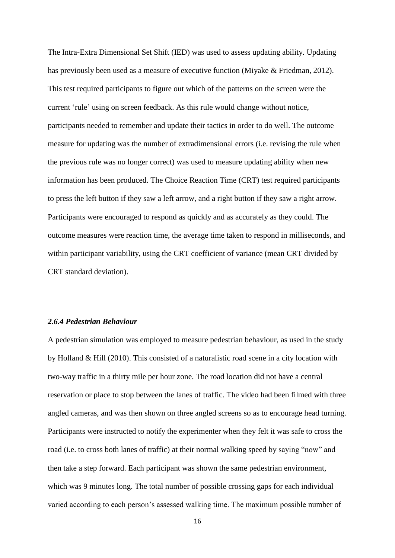The Intra-Extra Dimensional Set Shift (IED) was used to assess updating ability. Updating has previously been used as a measure of executive function (Miyake & Friedman, 2012). This test required participants to figure out which of the patterns on the screen were the current 'rule' using on screen feedback. As this rule would change without notice, participants needed to remember and update their tactics in order to do well. The outcome measure for updating was the number of extradimensional errors (i.e. revising the rule when the previous rule was no longer correct) was used to measure updating ability when new information has been produced. The Choice Reaction Time (CRT) test required participants to press the left button if they saw a left arrow, and a right button if they saw a right arrow. Participants were encouraged to respond as quickly and as accurately as they could. The outcome measures were reaction time, the average time taken to respond in milliseconds, and within participant variability, using the CRT coefficient of variance (mean CRT divided by CRT standard deviation).

#### *2.6.4 Pedestrian Behaviour*

A pedestrian simulation was employed to measure pedestrian behaviour, as used in the study by Holland & Hill (2010). This consisted of a naturalistic road scene in a city location with two-way traffic in a thirty mile per hour zone. The road location did not have a central reservation or place to stop between the lanes of traffic. The video had been filmed with three angled cameras, and was then shown on three angled screens so as to encourage head turning. Participants were instructed to notify the experimenter when they felt it was safe to cross the road (i.e. to cross both lanes of traffic) at their normal walking speed by saying "now" and then take a step forward. Each participant was shown the same pedestrian environment, which was 9 minutes long. The total number of possible crossing gaps for each individual varied according to each person's assessed walking time. The maximum possible number of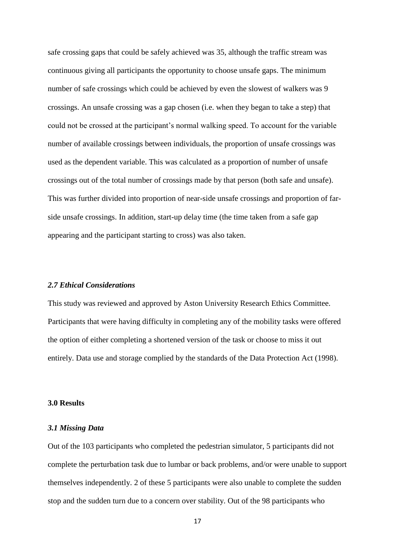safe crossing gaps that could be safely achieved was 35, although the traffic stream was continuous giving all participants the opportunity to choose unsafe gaps. The minimum number of safe crossings which could be achieved by even the slowest of walkers was 9 crossings. An unsafe crossing was a gap chosen (i.e. when they began to take a step) that could not be crossed at the participant's normal walking speed. To account for the variable number of available crossings between individuals, the proportion of unsafe crossings was used as the dependent variable. This was calculated as a proportion of number of unsafe crossings out of the total number of crossings made by that person (both safe and unsafe). This was further divided into proportion of near-side unsafe crossings and proportion of farside unsafe crossings. In addition, start-up delay time (the time taken from a safe gap appearing and the participant starting to cross) was also taken.

#### *2.7 Ethical Considerations*

This study was reviewed and approved by Aston University Research Ethics Committee. Participants that were having difficulty in completing any of the mobility tasks were offered the option of either completing a shortened version of the task or choose to miss it out entirely. Data use and storage complied by the standards of the Data Protection Act (1998).

#### **3.0 Results**

#### *3.1 Missing Data*

Out of the 103 participants who completed the pedestrian simulator, 5 participants did not complete the perturbation task due to lumbar or back problems, and/or were unable to support themselves independently. 2 of these 5 participants were also unable to complete the sudden stop and the sudden turn due to a concern over stability. Out of the 98 participants who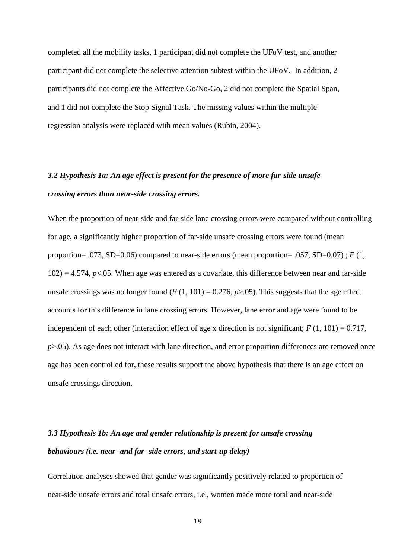completed all the mobility tasks, 1 participant did not complete the UFoV test, and another participant did not complete the selective attention subtest within the UFoV. In addition, 2 participants did not complete the Affective Go/No-Go, 2 did not complete the Spatial Span, and 1 did not complete the Stop Signal Task. The missing values within the multiple regression analysis were replaced with mean values (Rubin, 2004).

# *3.2 Hypothesis 1a: An age effect is present for the presence of more far-side unsafe crossing errors than near-side crossing errors.*

When the proportion of near-side and far-side lane crossing errors were compared without controlling for age, a significantly higher proportion of far-side unsafe crossing errors were found (mean proportion= .073, SD=0.06) compared to near-side errors (mean proportion= .057, SD=0.07) ; *F* (1,  $102$ ) = 4.574,  $p<0.05$ . When age was entered as a covariate, this difference between near and far-side unsafe crossings was no longer found  $(F(1, 101) = 0.276, p > 0.05)$ . This suggests that the age effect accounts for this difference in lane crossing errors. However, lane error and age were found to be independent of each other (interaction effect of age x direction is not significant;  $F(1, 101) = 0.717$ , *p*>.05). As age does not interact with lane direction, and error proportion differences are removed once age has been controlled for, these results support the above hypothesis that there is an age effect on unsafe crossings direction.

## *3.3 Hypothesis 1b: An age and gender relationship is present for unsafe crossing behaviours (i.e. near- and far- side errors, and start-up delay)*

Correlation analyses showed that gender was significantly positively related to proportion of near-side unsafe errors and total unsafe errors, i.e., women made more total and near-side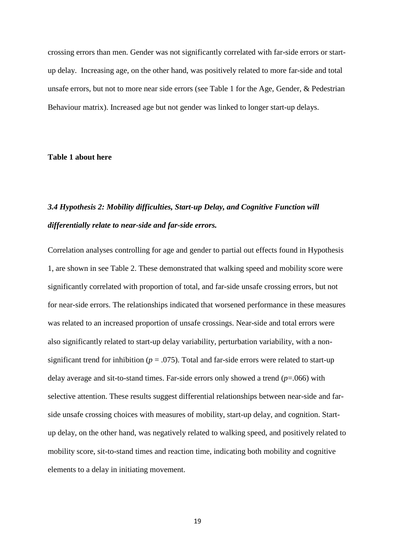crossing errors than men. Gender was not significantly correlated with far-side errors or startup delay. Increasing age, on the other hand, was positively related to more far-side and total unsafe errors, but not to more near side errors (see Table 1 for the Age, Gender, & Pedestrian Behaviour matrix). Increased age but not gender was linked to longer start-up delays.

#### **Table 1 about here**

## *3.4 Hypothesis 2: Mobility difficulties, Start-up Delay, and Cognitive Function will differentially relate to near-side and far-side errors.*

Correlation analyses controlling for age and gender to partial out effects found in Hypothesis 1, are shown in see Table 2. These demonstrated that walking speed and mobility score were significantly correlated with proportion of total, and far-side unsafe crossing errors, but not for near-side errors. The relationships indicated that worsened performance in these measures was related to an increased proportion of unsafe crossings. Near-side and total errors were also significantly related to start-up delay variability, perturbation variability, with a nonsignificant trend for inhibition ( $p = .075$ ). Total and far-side errors were related to start-up delay average and sit-to-stand times. Far-side errors only showed a trend (*p*=.066) with selective attention. These results suggest differential relationships between near-side and farside unsafe crossing choices with measures of mobility, start-up delay, and cognition. Startup delay, on the other hand, was negatively related to walking speed, and positively related to mobility score, sit-to-stand times and reaction time, indicating both mobility and cognitive elements to a delay in initiating movement.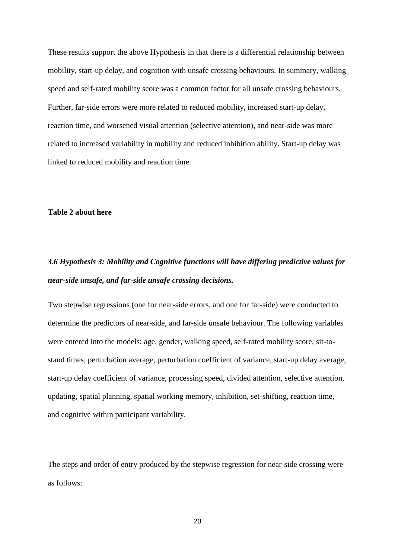These results support the above Hypothesis in that there is a differential relationship between mobility, start-up delay, and cognition with unsafe crossing behaviours. In summary, walking speed and self-rated mobility score was a common factor for all unsafe crossing behaviours. Further, far-side errors were more related to reduced mobility, increased start-up delay, reaction time, and worsened visual attention (selective attention), and near-side was more related to increased variability in mobility and reduced inhibition ability. Start-up delay was linked to reduced mobility and reaction time.

#### **Table 2 about here**

## *3.6 Hypothesis 3: Mobility and Cognitive functions will have differing predictive values for near-side unsafe, and far-side unsafe crossing decisions.*

Two stepwise regressions (one for near-side errors, and one for far-side) were conducted to determine the predictors of near-side, and far-side unsafe behaviour. The following variables were entered into the models: age, gender, walking speed, self-rated mobility score, sit-tostand times, perturbation average, perturbation coefficient of variance, start-up delay average, start-up delay coefficient of variance, processing speed, divided attention, selective attention, updating, spatial planning, spatial working memory, inhibition, set-shifting, reaction time, and cognitive within participant variability.

The steps and order of entry produced by the stepwise regression for near-side crossing were as follows: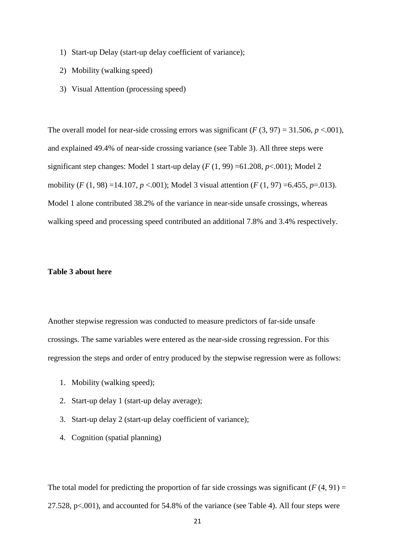- 1) Start-up Delay (start-up delay coefficient of variance);
- 2) Mobility (walking speed)
- 3) Visual Attention (processing speed)

The overall model for near-side crossing errors was significant  $(F(3, 97) = 31.506, p < .001)$ , and explained 49.4% of near-side crossing variance (see Table 3). All three steps were significant step changes: Model 1 start-up delay  $(F(1, 99) = 61.208, p < .001)$ ; Model 2 mobility (*F* (1, 98) =14.107, *p* <.001); Model 3 visual attention (*F* (1, 97) =6.455, *p*=.013). Model 1 alone contributed 38.2% of the variance in near-side unsafe crossings, whereas walking speed and processing speed contributed an additional 7.8% and 3.4% respectively.

### **Table 3 about here**

Another stepwise regression was conducted to measure predictors of far-side unsafe crossings. The same variables were entered as the near-side crossing regression. For this regression the steps and order of entry produced by the stepwise regression were as follows:

- 1. Mobility (walking speed);
- 2. Start-up delay 1 (start-up delay average);
- 3. Start-up delay 2 (start-up delay coefficient of variance);
- 4. Cognition (spatial planning)

The total model for predicting the proportion of far side crossings was significant  $(F(4, 91) =$ 27.528, p<.001), and accounted for 54.8% of the variance (see Table 4). All four steps were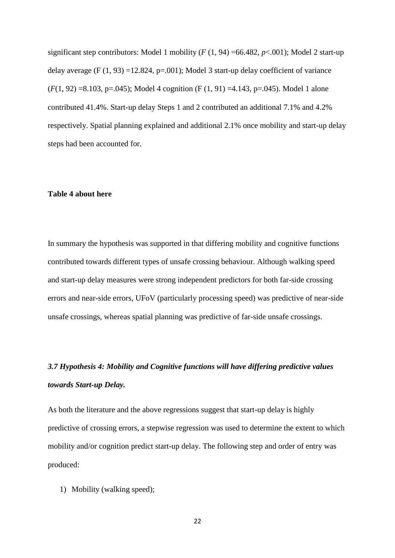significant step contributors: Model 1 mobility  $(F (1, 94) = 66.482, p < .001)$ ; Model 2 start-up delay average (F  $(1, 93) = 12.824$ , p=.001); Model 3 start-up delay coefficient of variance  $(F(1, 92) = 8.103, p = .045)$ ; Model 4 cognition  $(F(1, 91) = 4.143, p = .045)$ . Model 1 alone contributed 41.4%. Start-up delay Steps 1 and 2 contributed an additional 7.1% and 4.2% respectively. Spatial planning explained and additional 2.1% once mobility and start-up delay steps had been accounted for.

#### **Table 4 about here**

In summary the hypothesis was supported in that differing mobility and cognitive functions contributed towards different types of unsafe crossing behaviour. Although walking speed and start-up delay measures were strong independent predictors for both far-side crossing errors and near-side errors, UFoV (particularly processing speed) was predictive of near-side unsafe crossings, whereas spatial planning was predictive of far-side unsafe crossings.

# *3.7 Hypothesis 4: Mobility and Cognitive functions will have differing predictive values towards Start-up Delay.*

As both the literature and the above regressions suggest that start-up delay is highly predictive of crossing errors, a stepwise regression was used to determine the extent to which mobility and/or cognition predict start-up delay. The following step and order of entry was produced:

1) Mobility (walking speed);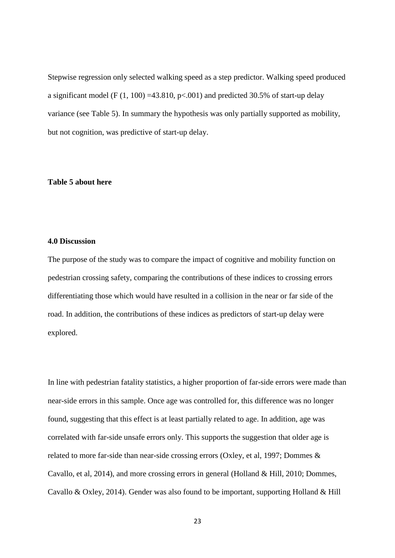Stepwise regression only selected walking speed as a step predictor. Walking speed produced a significant model (F  $(1, 100)$  =43.810, p<.001) and predicted 30.5% of start-up delay variance (see Table 5). In summary the hypothesis was only partially supported as mobility, but not cognition, was predictive of start-up delay.

#### **Table 5 about here**

#### **4.0 Discussion**

The purpose of the study was to compare the impact of cognitive and mobility function on pedestrian crossing safety, comparing the contributions of these indices to crossing errors differentiating those which would have resulted in a collision in the near or far side of the road. In addition, the contributions of these indices as predictors of start-up delay were explored.

In line with pedestrian fatality statistics, a higher proportion of far-side errors were made than near-side errors in this sample. Once age was controlled for, this difference was no longer found, suggesting that this effect is at least partially related to age. In addition, age was correlated with far-side unsafe errors only. This supports the suggestion that older age is related to more far-side than near-side crossing errors (Oxley, et al, 1997; Dommes & Cavallo, et al, 2014), and more crossing errors in general (Holland & Hill, 2010; Dommes, Cavallo & Oxley, 2014). Gender was also found to be important, supporting Holland & Hill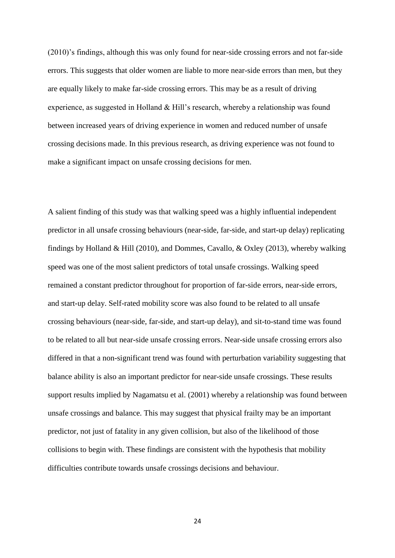(2010)'s findings, although this was only found for near-side crossing errors and not far-side errors. This suggests that older women are liable to more near-side errors than men, but they are equally likely to make far-side crossing errors. This may be as a result of driving experience, as suggested in Holland & Hill's research, whereby a relationship was found between increased years of driving experience in women and reduced number of unsafe crossing decisions made. In this previous research, as driving experience was not found to make a significant impact on unsafe crossing decisions for men.

A salient finding of this study was that walking speed was a highly influential independent predictor in all unsafe crossing behaviours (near-side, far-side, and start-up delay) replicating findings by Holland & Hill (2010), and Dommes, Cavallo, & Oxley (2013), whereby walking speed was one of the most salient predictors of total unsafe crossings. Walking speed remained a constant predictor throughout for proportion of far-side errors, near-side errors, and start-up delay. Self-rated mobility score was also found to be related to all unsafe crossing behaviours (near-side, far-side, and start-up delay), and sit-to-stand time was found to be related to all but near-side unsafe crossing errors. Near-side unsafe crossing errors also differed in that a non-significant trend was found with perturbation variability suggesting that balance ability is also an important predictor for near-side unsafe crossings. These results support results implied by Nagamatsu et al. (2001) whereby a relationship was found between unsafe crossings and balance. This may suggest that physical frailty may be an important predictor, not just of fatality in any given collision, but also of the likelihood of those collisions to begin with. These findings are consistent with the hypothesis that mobility difficulties contribute towards unsafe crossings decisions and behaviour.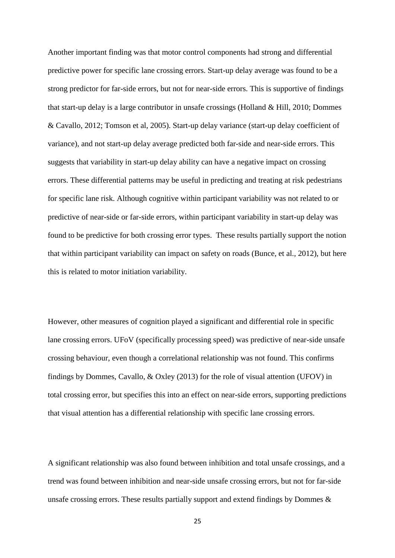Another important finding was that motor control components had strong and differential predictive power for specific lane crossing errors. Start-up delay average was found to be a strong predictor for far-side errors, but not for near-side errors. This is supportive of findings that start-up delay is a large contributor in unsafe crossings (Holland & Hill, 2010; Dommes & Cavallo, 2012; Tomson et al, 2005). Start-up delay variance (start-up delay coefficient of variance), and not start-up delay average predicted both far-side and near-side errors. This suggests that variability in start-up delay ability can have a negative impact on crossing errors. These differential patterns may be useful in predicting and treating at risk pedestrians for specific lane risk. Although cognitive within participant variability was not related to or predictive of near-side or far-side errors, within participant variability in start-up delay was found to be predictive for both crossing error types. These results partially support the notion that within participant variability can impact on safety on roads (Bunce, et al., 2012), but here this is related to motor initiation variability.

However, other measures of cognition played a significant and differential role in specific lane crossing errors. UFoV (specifically processing speed) was predictive of near-side unsafe crossing behaviour, even though a correlational relationship was not found. This confirms findings by Dommes, Cavallo, & Oxley (2013) for the role of visual attention (UFOV) in total crossing error, but specifies this into an effect on near-side errors, supporting predictions that visual attention has a differential relationship with specific lane crossing errors.

A significant relationship was also found between inhibition and total unsafe crossings, and a trend was found between inhibition and near-side unsafe crossing errors, but not for far-side unsafe crossing errors. These results partially support and extend findings by Dommes  $\&$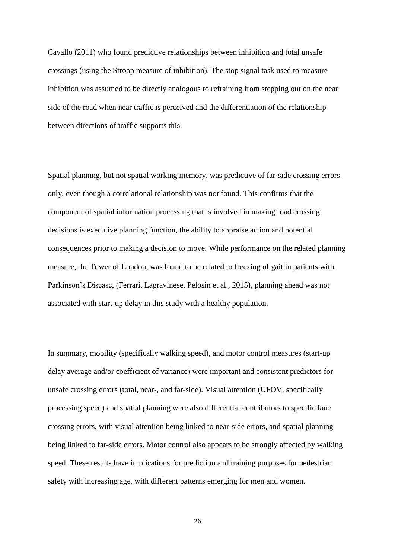Cavallo (2011) who found predictive relationships between inhibition and total unsafe crossings (using the Stroop measure of inhibition). The stop signal task used to measure inhibition was assumed to be directly analogous to refraining from stepping out on the near side of the road when near traffic is perceived and the differentiation of the relationship between directions of traffic supports this.

Spatial planning, but not spatial working memory, was predictive of far-side crossing errors only, even though a correlational relationship was not found. This confirms that the component of spatial information processing that is involved in making road crossing decisions is executive planning function, the ability to appraise action and potential consequences prior to making a decision to move. While performance on the related planning measure, the Tower of London, was found to be related to freezing of gait in patients with Parkinson's Disease, (Ferrari, Lagravinese, Pelosin et al., 2015), planning ahead was not associated with start-up delay in this study with a healthy population.

In summary, mobility (specifically walking speed), and motor control measures (start-up delay average and/or coefficient of variance) were important and consistent predictors for unsafe crossing errors (total, near-, and far-side). Visual attention (UFOV, specifically processing speed) and spatial planning were also differential contributors to specific lane crossing errors, with visual attention being linked to near-side errors, and spatial planning being linked to far-side errors. Motor control also appears to be strongly affected by walking speed. These results have implications for prediction and training purposes for pedestrian safety with increasing age, with different patterns emerging for men and women.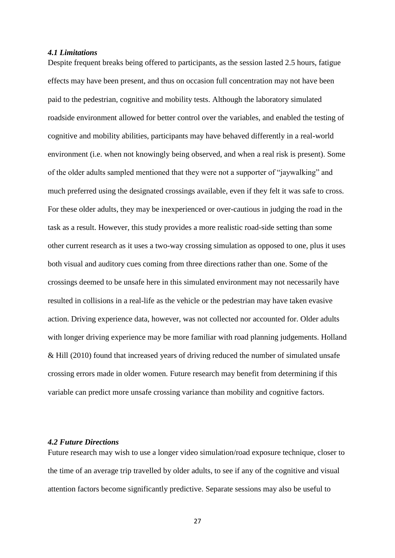#### *4.1 Limitations*

Despite frequent breaks being offered to participants, as the session lasted 2.5 hours, fatigue effects may have been present, and thus on occasion full concentration may not have been paid to the pedestrian, cognitive and mobility tests. Although the laboratory simulated roadside environment allowed for better control over the variables, and enabled the testing of cognitive and mobility abilities, participants may have behaved differently in a real-world environment (i.e. when not knowingly being observed, and when a real risk is present). Some of the older adults sampled mentioned that they were not a supporter of "jaywalking" and much preferred using the designated crossings available, even if they felt it was safe to cross. For these older adults, they may be inexperienced or over-cautious in judging the road in the task as a result. However, this study provides a more realistic road-side setting than some other current research as it uses a two-way crossing simulation as opposed to one, plus it uses both visual and auditory cues coming from three directions rather than one. Some of the crossings deemed to be unsafe here in this simulated environment may not necessarily have resulted in collisions in a real-life as the vehicle or the pedestrian may have taken evasive action. Driving experience data, however, was not collected nor accounted for. Older adults with longer driving experience may be more familiar with road planning judgements. Holland & Hill (2010) found that increased years of driving reduced the number of simulated unsafe crossing errors made in older women. Future research may benefit from determining if this variable can predict more unsafe crossing variance than mobility and cognitive factors.

#### *4.2 Future Directions*

Future research may wish to use a longer video simulation/road exposure technique, closer to the time of an average trip travelled by older adults, to see if any of the cognitive and visual attention factors become significantly predictive. Separate sessions may also be useful to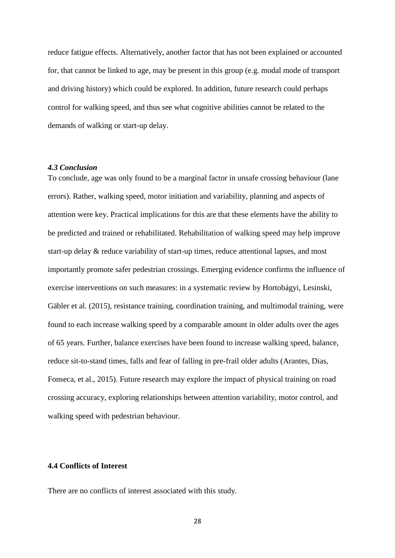reduce fatigue effects. Alternatively, another factor that has not been explained or accounted for, that cannot be linked to age, may be present in this group (e.g. modal mode of transport and driving history) which could be explored. In addition, future research could perhaps control for walking speed, and thus see what cognitive abilities cannot be related to the demands of walking or start-up delay.

#### *4.3 Conclusion*

To conclude, age was only found to be a marginal factor in unsafe crossing behaviour (lane errors). Rather, walking speed, motor initiation and variability, planning and aspects of attention were key. Practical implications for this are that these elements have the ability to be predicted and trained or rehabilitated. Rehabilitation of walking speed may help improve start-up delay & reduce variability of start-up times, reduce attentional lapses, and most importantly promote safer pedestrian crossings. Emerging evidence confirms the influence of exercise interventions on such measures: in a systematic review by Hortobágyi, Lesinski, Gäbler et al. (2015), resistance training, coordination training, and multimodal training, were found to each increase walking speed by a comparable amount in older adults over the ages of 65 years. Further, balance exercises have been found to increase walking speed, balance, reduce sit-to-stand times, falls and fear of falling in pre-frail older adults (Arantes, Dias, Fonseca, et al., 2015). Future research may explore the impact of physical training on road crossing accuracy, exploring relationships between attention variability, motor control, and walking speed with pedestrian behaviour.

### **4.4 Conflicts of Interest**

There are no conflicts of interest associated with this study.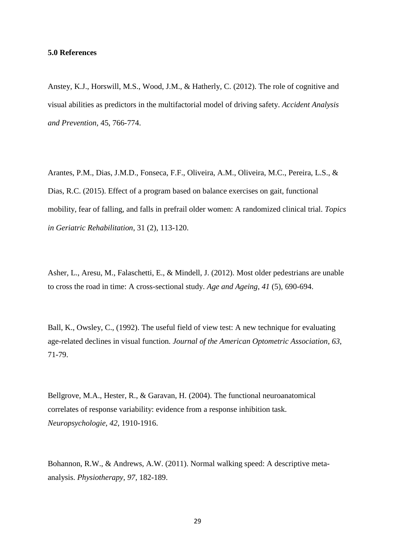#### **5.0 References**

Anstey, K.J., Horswill, M.S., Wood, J.M., & Hatherly, C. (2012). The role of cognitive and visual abilities as predictors in the multifactorial model of driving safety. *Accident Analysis and Prevention,* 45, 766-774.

Arantes, P.M., Dias, J.M.D., Fonseca, F.F., Oliveira, A.M., Oliveira, M.C., Pereira, L.S., & Dias, R.C. (2015). Effect of a program based on balance exercises on gait, functional mobility, fear of falling, and falls in prefrail older women: A randomized clinical trial. *Topics in Geriatric Rehabilitation*, 31 (2), 113-120.

Asher, L., Aresu, M., Falaschetti, E., & Mindell, J. (2012). Most older pedestrians are unable to cross the road in time: A cross-sectional study. *Age and Ageing, 41* (5), 690-694.

Ball, K., Owsley, C., (1992). The useful field of view test: A new technique for evaluating age-related declines in visual function*. Journal of the American Optometric Association*, *63*, 71-79.

Bellgrove, M.A., Hester, R., & Garavan, H. (2004). The functional neuroanatomical correlates of response variability: evidence from a response inhibition task. *Neuropsychologie, 42*, 1910-1916.

Bohannon, R.W., & Andrews, A.W. (2011). Normal walking speed: A descriptive metaanalysis. *Physiotherapy, 97*, 182-189.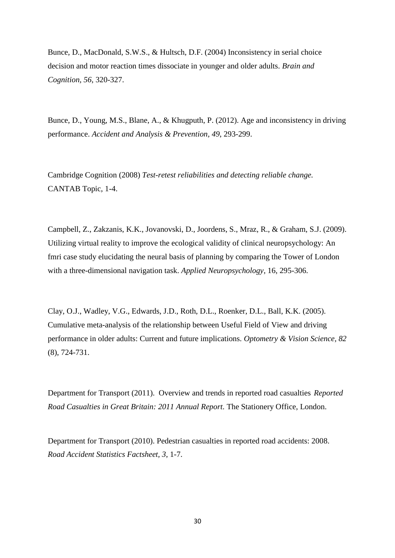Bunce, D., MacDonald, S.W.S., & Hultsch, D.F. (2004) Inconsistency in serial choice decision and motor reaction times dissociate in younger and older adults. *Brain and Cognition, 56*, 320-327.

Bunce, D., Young, M.S., Blane, A., & Khugputh, P. (2012). Age and inconsistency in driving performance. *Accident and Analysis & Prevention, 49*, 293-299.

Cambridge Cognition (2008) *Test-retest reliabilities and detecting reliable change.* CANTAB Topic, 1-4.

Campbell, Z., Zakzanis, K.K., Jovanovski, D., Joordens, S., Mraz, R., & Graham, S.J. (2009). Utilizing virtual reality to improve the ecological validity of clinical neuropsychology: An fmri case study elucidating the neural basis of planning by comparing the Tower of London with a three-dimensional navigation task. *Applied Neuropsychology*, 16, 295-306.

Clay, O.J., Wadley, V.G., Edwards, J.D., Roth, D.L., Roenker, D.L., Ball, K.K. (2005). Cumulative meta-analysis of the relationship between Useful Field of View and driving performance in older adults: Current and future implications. *Optometry & Vision Science, 82* (8), 724-731.

Department for Transport (2011). Overview and trends in reported road casualties *Reported Road Casualties in Great Britain: 2011 Annual Report.* The Stationery Office, London.

Department for Transport (2010). Pedestrian casualties in reported road accidents: 2008. *Road Accident Statistics Factsheet, 3*, 1-7.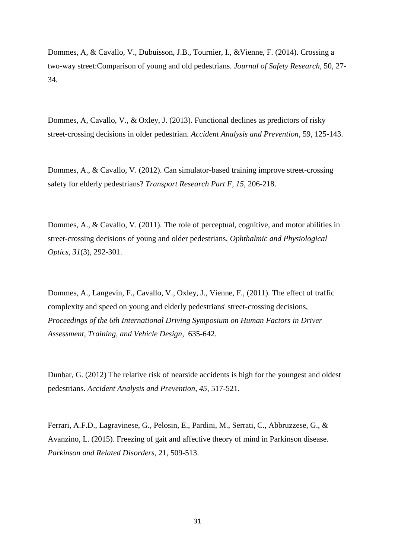Dommes, A, & Cavallo, V., Dubuisson, J.B., Tournier, I., &Vienne, F. (2014). Crossing a two-way street:Comparison of young and old pedestrians. *Journal of Safety Research,* 50, 27- 34.

Dommes, A, Cavallo, V., & Oxley, J. (2013). Functional declines as predictors of risky street-crossing decisions in older pedestrian. *Accident Analysis and Prevention*, 59, 125-143.

Dommes, A., & Cavallo, V. (2012). Can simulator-based training improve street-crossing safety for elderly pedestrians? *Transport Research Part F, 15*, 206-218.

Dommes, A., & Cavallo, V. (2011). The role of perceptual, cognitive, and motor abilities in street-crossing decisions of young and older pedestrians. *Ophthalmic and Physiological Optics, 31*(3), 292-301.

Dommes, A., Langevin, F., Cavallo, V., Oxley, J., Vienne, F., (2011). The effect of traffic complexity and speed on young and elderly pedestrians' street-crossing decisions, *Proceedings of the 6th International Driving Symposium on Human Factors in Driver Assessment, Training, and Vehicle Design*, 635-642.

Dunbar, G. (2012) The relative risk of nearside accidents is high for the youngest and oldest pedestrians. *Accident Analysis and Prevention*, *45,* 517-521.

Ferrari, A.F.D., Lagravinese, G., Pelosin, E., Pardini, M., Serrati, C., Abbruzzese, G., & Avanzino, L. (2015). Freezing of gait and affective theory of mind in Parkinson disease. *Parkinson and Related Disorders,* 21, 509-513.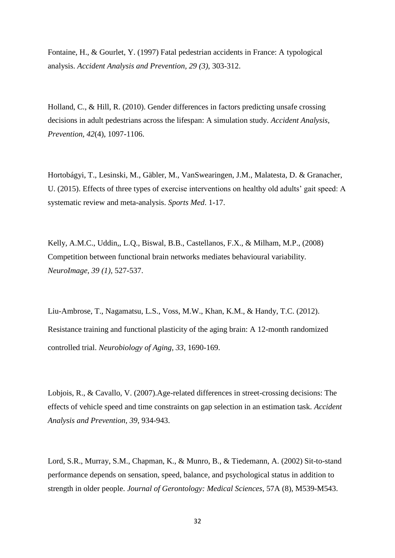Fontaine, H., & Gourlet, Y. (1997) Fatal pedestrian accidents in France: A typological analysis. *Accident Analysis and Prevention, 29 (3),* 303-312.

Holland, C., & Hill, R. (2010). Gender differences in factors predicting unsafe crossing decisions in adult pedestrians across the lifespan: A simulation study. *Accident Analysis, Prevention, 42*(4), 1097-1106.

Hortobágyi, T., Lesinski, M., Gäbler, M., VanSwearingen, J.M., Malatesta, D. & Granacher, U. (2015). Effects of three types of exercise interventions on healthy old adults' gait speed: A systematic review and meta-analysis. *Sports Med*. 1-17.

Kelly, A.M.C., Uddin,, L.Q., Biswal, B.B., Castellanos, F.X., & Milham, M.P., (2008) Competition between functional brain networks mediates behavioural variability. *NeuroImage, 39 (1),* 527-537.

Liu-Ambrose, T., Nagamatsu, L.S., Voss, M.W., Khan, K.M., & Handy, T.C. (2012). Resistance training and functional plasticity of the aging brain: A 12-month randomized controlled trial. *Neurobiology of Aging, 33*, 1690-169.

Lobjois, R., & Cavallo, V. (2007).Age-related differences in street-crossing decisions: The effects of vehicle speed and time constraints on gap selection in an estimation task. *Accident Analysis and Prevention, 39,* 934-943.

Lord, S.R., Murray, S.M., Chapman, K., & Munro, B., & Tiedemann, A. (2002) Sit-to-stand performance depends on sensation, speed, balance, and psychological status in addition to strength in older people. *Journal of Gerontology: Medical Sciences*, 57A (8), M539-M543.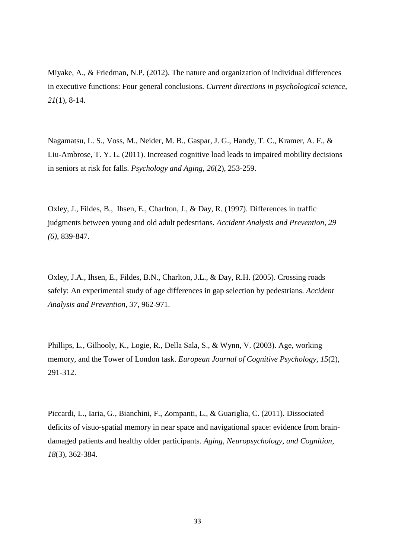Miyake, A., & Friedman, N.P. (2012). The nature and organization of individual differences in executive functions: Four general conclusions. *Current directions in psychological science*, *21*(1), 8-14.

Nagamatsu, L. S., Voss, M., Neider, M. B., Gaspar, J. G., Handy, T. C., Kramer, A. F., & Liu-Ambrose, T. Y. L. (2011). Increased cognitive load leads to impaired mobility decisions in seniors at risk for falls. *Psychology and Aging, 26*(2), 253-259.

Oxley, J., Fildes, B., Ihsen, E., Charlton, J., & Day, R. (1997). Differences in traffic judgments between young and old adult pedestrians. *Accident Analysis and Prevention, 29 (6)*, 839-847.

Oxley, J.A., Ihsen, E., Fildes, B.N., Charlton, J.L., & Day, R.H. (2005). Crossing roads safely: An experimental study of age differences in gap selection by pedestrians. *Accident Analysis and Prevention, 37,* 962-971.

Phillips, L., Gilhooly, K., Logie, R., Della Sala, S., & Wynn, V. (2003). Age, working memory, and the Tower of London task. *European Journal of Cognitive Psychology*, *15*(2), 291-312.

Piccardi, L., Iaria, G., Bianchini, F., Zompanti, L., & Guariglia, C. (2011). Dissociated deficits of visuo-spatial memory in near space and navigational space: evidence from braindamaged patients and healthy older participants. *Aging, Neuropsychology, and Cognition*, *18*(3), 362-384.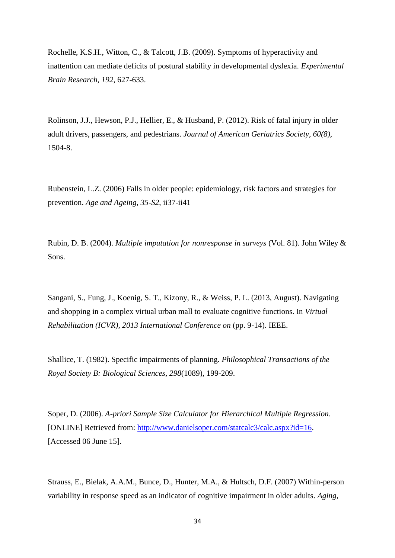Rochelle, K.S.H., Witton, C., & Talcott, J.B. (2009). Symptoms of hyperactivity and inattention can mediate deficits of postural stability in developmental dyslexia. *Experimental Brain Research, 192*, 627-633.

Rolinson, J.J., Hewson, P.J., Hellier, E., & Husband, P. (2012). Risk of fatal injury in older adult drivers, passengers, and pedestrians. *Journal of American Geriatrics Society, 60(8),* 1504-8.

Rubenstein, L.Z. (2006) Falls in older people: epidemiology, risk factors and strategies for prevention. *Age and Ageing, 35-S2*, ii37-ii41

Rubin, D. B. (2004). *Multiple imputation for nonresponse in surveys* (Vol. 81). John Wiley & Sons.

Sangani, S., Fung, J., Koenig, S. T., Kizony, R., & Weiss, P. L. (2013, August). Navigating and shopping in a complex virtual urban mall to evaluate cognitive functions. In *Virtual Rehabilitation (ICVR), 2013 International Conference on* (pp. 9-14). IEEE.

Shallice, T. (1982). Specific impairments of planning. *Philosophical Transactions of the Royal Society B: Biological Sciences*, *298*(1089), 199-209.

Soper, D. (2006). *A-priori Sample Size Calculator for Hierarchical Multiple Regression*. [ONLINE] Retrieved from: [http://www.danielsoper.com/statcalc3/calc.aspx?id=16.](http://www.danielsoper.com/statcalc3/calc.aspx?id=16) [Accessed 06 June 15].

Strauss, E., Bielak, A.A.M., Bunce, D., Hunter, M.A., & Hultsch, D.F. (2007) Within-person variability in response speed as an indicator of cognitive impairment in older adults. *Aging,*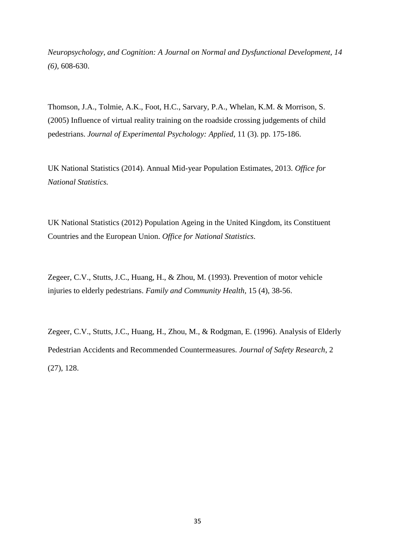*Neuropsychology, and Cognition: A Journal on Normal and Dysfunctional Development, 14 (6),* 608-630.

Thomson, J.A., Tolmie, A.K., Foot, H.C., Sarvary, P.A., Whelan, K.M. & Morrison, S. (2005) Influence of virtual reality training on the roadside crossing judgements of child pedestrians. *Journal of Experimental Psychology: Applied*, 11 (3). pp. 175-186.

UK National Statistics (2014). Annual Mid-year Population Estimates, 2013. *Office for National Statistics.* 

UK National Statistics (2012) Population Ageing in the United Kingdom, its Constituent Countries and the European Union. *Office for National Statistics.* 

Zegeer, C.V., Stutts, J.C., Huang, H., & Zhou, M. (1993). Prevention of motor vehicle injuries to elderly pedestrians. *Family and Community Health,* 15 (4), 38-56.

Zegeer, C.V., Stutts, J.C., Huang, H., Zhou, M., & Rodgman, E. (1996). Analysis of Elderly Pedestrian Accidents and Recommended Countermeasures. *Journal of Safety Research*, 2 (27), 128.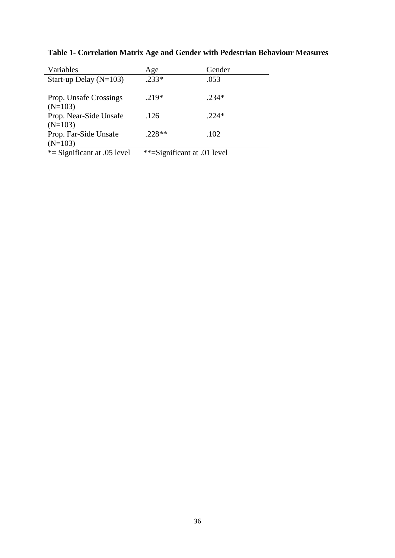| Variables                     | Age                         | Gender  |
|-------------------------------|-----------------------------|---------|
| Start-up Delay $(N=103)$      | $.233*$                     | .053    |
|                               |                             |         |
| Prop. Unsafe Crossings        | $.219*$                     | $.234*$ |
| $(N=103)$                     |                             |         |
| Prop. Near-Side Unsafe        | .126                        | $.224*$ |
| $(N=103)$                     |                             |         |
| Prop. Far-Side Unsafe         | $.228**$                    | .102    |
| $(N=103)$                     |                             |         |
| *= Significant at $.05$ level | **=Significant at .01 level |         |

**Table 1- Correlation Matrix Age and Gender with Pedestrian Behaviour Measures**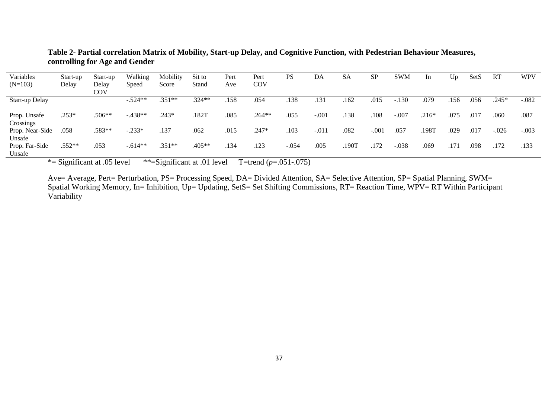| Variables                          | Start-up | Start-up | Walking   | Mobility | Sit to   | Pert | Pert     | PS      | DA      | SA    | <b>SP</b> | <b>SWM</b> | In      | Up   | SetS | <b>RT</b> | <b>WPV</b> |
|------------------------------------|----------|----------|-----------|----------|----------|------|----------|---------|---------|-------|-----------|------------|---------|------|------|-----------|------------|
| $(N=103)$                          | Delay    | Delay    | Speed     | Score    | Stand    | Ave  | COV      |         |         |       |           |            |         |      |      |           |            |
|                                    |          | COV      |           |          |          |      |          |         |         |       |           |            |         |      |      |           |            |
| Start-up Delay                     |          |          | $-.524**$ | $.351**$ | .324**   | .158 | .054     | .138    | .131    | .162  | .015      | $-.130$    | .079    | .156 | .056 | .245*     | $-.082$    |
| Prop. Unsafe                       | $.253*$  | $.506**$ | $-.438**$ | .243*    | .182T    | .085 | $.264**$ | .055    | $-.001$ | .138  | .108      | $-.007$    | $.216*$ | .075 | .017 | .060      | .087       |
| Crossings<br>Prop. Near-Side       | .058     | .583**   | $-.233*$  | .137     | .062     | .015 | $.247*$  | .103    | $-.011$ | .082  | $-.001$   | .057       | .198T   | .029 | .017 | $-.026$   | $-.003$    |
| Unsafe<br>Prop. Far-Side<br>Unsafe | $.552**$ | .053     | $-.614**$ | $.351**$ | $.405**$ | .134 | .123     | $-.054$ | .005    | .190T | 172       | $-.038$    | .069    | .171 | .098 | .172      | .133       |

**Table 2- Partial correlation Matrix of Mobility, Start-up Delay, and Cognitive Function, with Pedestrian Behaviour Measures, controlling for Age and Gender** 

\*= Significant at .05 level \*\*=Significant at .01 level T=trend (*p*=.051-.075)

Ave= Average, Pert= Perturbation, PS= Processing Speed, DA= Divided Attention, SA= Selective Attention, SP= Spatial Planning, SWM= Spatial Working Memory, In= Inhibition, Up= Updating, SetS= Set Shifting Commissions, RT= Reaction Time, WPV= RT Within Participant Variability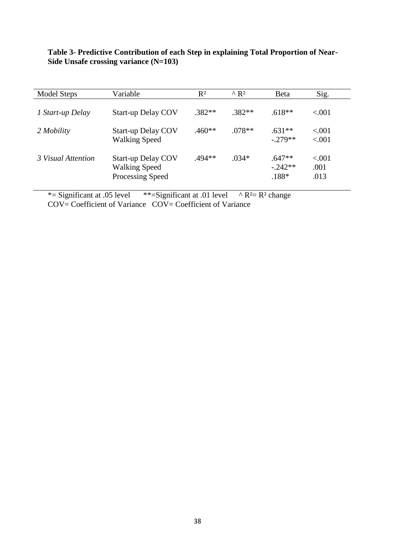| Model Steps        | Variable                                                              | $R^2$    | $^{\wedge}R^2$ | <b>B</b> eta                      | Sig.                     |
|--------------------|-----------------------------------------------------------------------|----------|----------------|-----------------------------------|--------------------------|
| 1 Start-up Delay   | <b>Start-up Delay COV</b>                                             | $.382**$ | $.382**$       | $.618**$                          | ${<}001$                 |
| 2 Mobility         | <b>Start-up Delay COV</b><br><b>Walking Speed</b>                     | $.460**$ | $.078**$       | $.631**$<br>$-279**$              | ${<}001$<br>${<}001$     |
| 3 Visual Attention | <b>Start-up Delay COV</b><br><b>Walking Speed</b><br>Processing Speed | $.494**$ | $.034*$        | $.647**$<br>$-0.242**$<br>$.188*$ | ${<}001$<br>.001<br>.013 |

**Table 3- Predictive Contribution of each Step in explaining Total Proportion of Near-Side Unsafe crossing variance (N=103)** 

\*= Significant at .05 level \*\*= Significant at .01 level  $\land$  R<sup>2</sup>= R<sup>2</sup> change

COV= Coefficient of Variance COV= Coefficient of Variance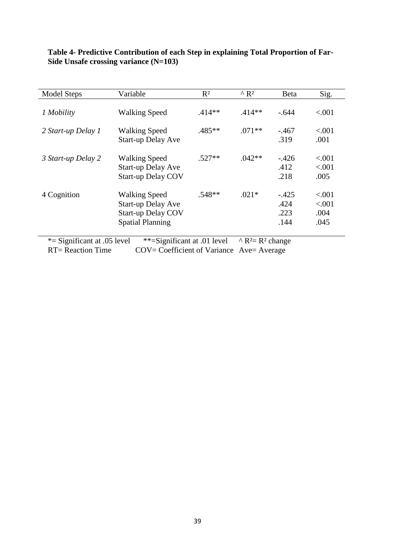| <b>Model Steps</b>            | Variable                                                                                                  | $R^2$                                           | $^{\wedge}R^2$ | Beta                            | Sig.                               |
|-------------------------------|-----------------------------------------------------------------------------------------------------------|-------------------------------------------------|----------------|---------------------------------|------------------------------------|
| 1 Mobility                    | <b>Walking Speed</b>                                                                                      | $.414**$                                        | $.414**$       | $-.644$                         | < .001                             |
| 2 Start-up Delay 1            | <b>Walking Speed</b><br><b>Start-up Delay Ave</b>                                                         | .485**                                          | $.071**$       | $-.467$<br>.319                 | ${<}001$<br>.001                   |
| 3 Start-up Delay 2            | <b>Walking Speed</b><br><b>Start-up Delay Ave</b><br><b>Start-up Delay COV</b>                            | $.527**$                                        | $.042**$       | $-426$<br>.412<br>.218          | ${<}001$<br>< .001<br>.005         |
| 4 Cognition                   | <b>Walking Speed</b><br><b>Start-up Delay Ave</b><br><b>Start-up Delay COV</b><br><b>Spatial Planning</b> | $.548**$                                        | $.021*$        | $-.425$<br>.424<br>.223<br>.144 | ${<}001$<br>< .001<br>.004<br>.045 |
| *= Significant at $.05$ level | **=Significant at .01 level                                                                               | $\wedge$ R <sup>2</sup> = R <sup>2</sup> change |                |                                 |                                    |

### **Table 4- Predictive Contribution of each Step in explaining Total Proportion of Far-Side Unsafe crossing variance (N=103)**

RT= Reaction Time COV= Coefficient of Variance Ave= Average